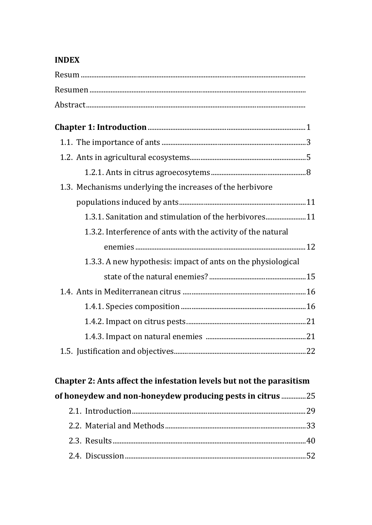## **INDEX**

| 1.3. Mechanisms underlying the increases of the herbivore    |
|--------------------------------------------------------------|
|                                                              |
| 1.3.1. Sanitation and stimulation of the herbivores 11       |
| 1.3.2. Interference of ants with the activity of the natural |
|                                                              |
| 1.3.3. A new hypothesis: impact of ants on the physiological |
|                                                              |
|                                                              |
|                                                              |
|                                                              |
|                                                              |
|                                                              |
|                                                              |

## Chapter 2: Ants affect the infestation levels but not the parasitism of honeydew and non-honeydew producing pests in citrus ................25